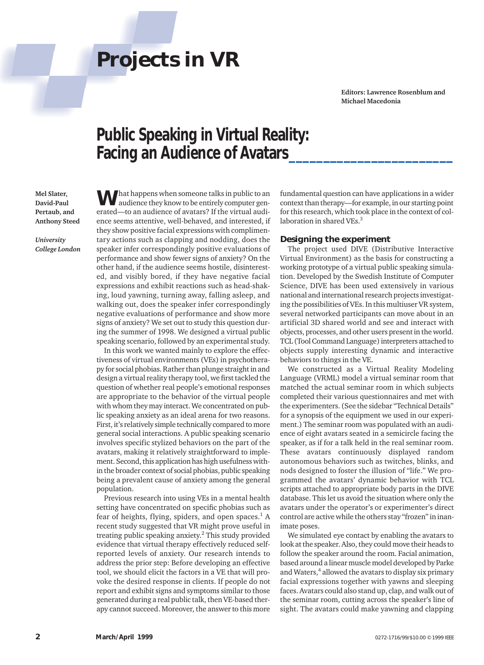# **Projects in VR**

**Editors: Lawrence Rosenblum and Michael Macedonia**

# **Public Speaking in Virtual Reality: Facing an Audience of Avatars\_\_\_\_\_\_\_\_\_\_\_\_\_\_\_\_\_\_\_\_\_\_\_\_**

**Mel Slater, David-Paul Pertaub, and Anthony Steed**

*University College London*

**W** hat happens when someone talks in public to an audience they know to be entirely computer generated—to an audience of avatars? If the virtual audience seems attentive, well-behaved, and interested, if they show positive facial expressions with complimentary actions such as clapping and nodding, does the speaker infer correspondingly positive evaluations of performance and show fewer signs of anxiety? On the other hand, if the audience seems hostile, disinterested, and visibly bored, if they have negative facial expressions and exhibit reactions such as head-shaking, loud yawning, turning away, falling asleep, and walking out, does the speaker infer correspondingly negative evaluations of performance and show more signs of anxiety? We set out to study this question during the summer of 1998. We designed a virtual public speaking scenario, followed by an experimental study.

In this work we wanted mainly to explore the effectiveness of virtual environments (VEs) in psychotherapy for social phobias. Rather than plunge straight in and design a virtual reality therapy tool, we first tackled the question of whether real people's emotional responses are appropriate to the behavior of the virtual people with whom they may interact. We concentrated on public speaking anxiety as an ideal arena for two reasons. First, it's relatively simple technically compared to more general social interactions. A public speaking scenario involves specific stylized behaviors on the part of the avatars, making it relatively straightforward to implement. Second, this application has high usefulness within the broader context of social phobias, public speaking being a prevalent cause of anxiety among the general population.

Previous research into using VEs in a mental health setting have concentrated on specific phobias such as fear of heights, flying, spiders, and open spaces.<sup>1</sup> A recent study suggested that VR might prove useful in treating public speaking anxiety.<sup>2</sup> This study provided evidence that virtual therapy effectively reduced selfreported levels of anxiety. Our research intends to address the prior step: Before developing an effective tool, we should elicit the factors in a VE that will provoke the desired response in clients. If people do not report and exhibit signs and symptoms similar to those generated during a real public talk, then VE-based therapy cannot succeed. Moreover, the answer to this more

fundamental question can have applications in a wider context than therapy—for example, in our starting point for this research, which took place in the context of collaboration in shared VEs.<sup>3</sup>

# **Designing the experiment**

The project used DIVE (Distributive Interactive Virtual Environment) as the basis for constructing a working prototype of a virtual public speaking simulation. Developed by the Swedish Institute of Computer Science, DIVE has been used extensively in various national and international research projects investigating the possibilities of VEs. In this multiuser VR system, several networked participants can move about in an artificial 3D shared world and see and interact with objects, processes, and other users present in the world. TCL (Tool Command Language) interpreters attached to objects supply interesting dynamic and interactive behaviors to things in the VE.

We constructed as a Virtual Reality Modeling Language (VRML) model a virtual seminar room that matched the actual seminar room in which subjects completed their various questionnaires and met with the experimenters. (See the sidebar "Technical Details" for a synopsis of the equipment we used in our experiment.) The seminar room was populated with an audience of eight avatars seated in a semicircle facing the speaker, as if for a talk held in the real seminar room. These avatars continuously displayed random autonomous behaviors such as twitches, blinks, and nods designed to foster the illusion of "life." We programmed the avatars' dynamic behavior with TCL scripts attached to appropriate body parts in the DIVE database. This let us avoid the situation where only the avatars under the operator's or experimenter's direct control are active while the others stay "frozen" in inanimate poses.

We simulated eye contact by enabling the avatars to look at the speaker. Also, they could move their heads to follow the speaker around the room. Facial animation, based around a linear muscle model developed by Parke and Waters,<sup>4</sup> allowed the avatars to display six primary facial expressions together with yawns and sleeping faces. Avatars could also stand up, clap, and walk out of the seminar room, cutting across the speaker's line of sight. The avatars could make yawning and clapping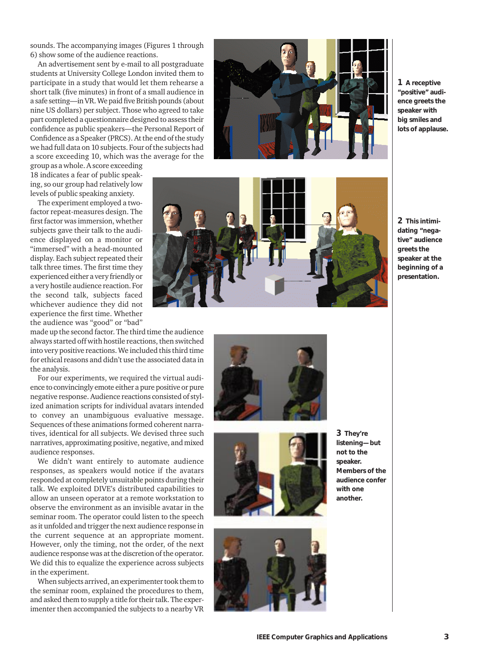sounds. The accompanying images (Figures 1 through 6) show some of the audience reactions.

An advertisement sent by e-mail to all postgraduate students at University College London invited them to participate in a study that would let them rehearse a short talk (five minutes) in front of a small audience in a safe setting—in VR. We paid five British pounds (about nine US dollars) per subject. Those who agreed to take part completed a questionnaire designed to assess their confidence as public speakers—the Personal Report of Confidence as a Speaker (PRCS). At the end of the study we had full data on 10 subjects. Four of the subjects had a score exceeding 10, which was the average for the

group as a whole. A score exceeding 18 indicates a fear of public speaking, so our group had relatively low levels of public speaking anxiety.

The experiment employed a twofactor repeat-measures design. The first factor was immersion, whether subjects gave their talk to the audience displayed on a monitor or "immersed" with a head-mounted display. Each subject repeated their talk three times. The first time they experienced either a very friendly or a very hostile audience reaction. For the second talk, subjects faced whichever audience they did not experience the first time. Whether the audience was "good" or "bad"

made up the second factor. The third time the audience always started off with hostile reactions, then switched into very positive reactions. We included this third time for ethical reasons and didn't use the associated data in the analysis.

For our experiments, we required the virtual audience to convincingly emote either a pure positive or pure negative response. Audience reactions consisted of stylized animation scripts for individual avatars intended to convey an unambiguous evaluative message. Sequences of these animations formed coherent narratives, identical for all subjects. We devised three such narratives, approximating positive, negative, and mixed audience responses.

We didn't want entirely to automate audience responses, as speakers would notice if the avatars responded at completely unsuitable points during their talk. We exploited DIVE's distributed capabilities to allow an unseen operator at a remote workstation to observe the environment as an invisible avatar in the seminar room. The operator could listen to the speech as it unfolded and trigger the next audience response in the current sequence at an appropriate moment. However, only the timing, not the order, of the next audience response was at the discretion of the operator. We did this to equalize the experience across subjects in the experiment.

When subjects arrived, an experimenter took them to the seminar room, explained the procedures to them, and asked them to supply a title for their talk. The experimenter then accompanied the subjects to a nearby VR



**1 A receptive "positive" audience greets the speaker with big smiles and lots of applause.**



**2 This intimidating "negative" audience greets the speaker at the beginning of a presentation.**







**3 They're listening—but not to the speaker. Members of the audience confer with one another.**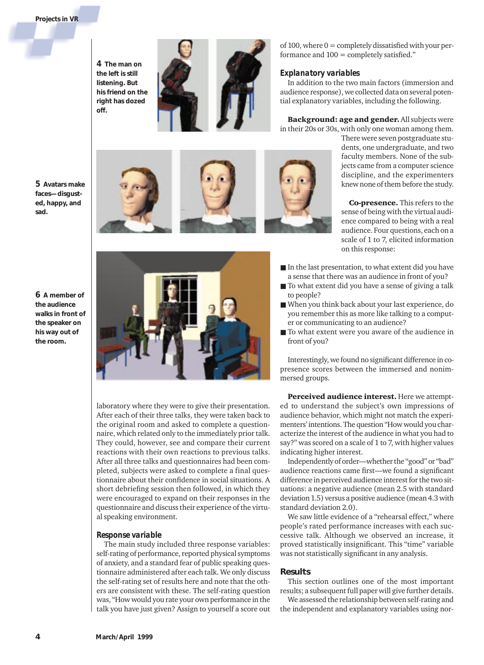**4 The man on the left is still listening. But his friend on the right has dozed off.**



of 100, where  $0 =$  completely dissatisfied with your performance and 100 = completely satisfied."

### *Explanatory variables*

In addition to the two main factors (immersion and audience response), we collected data on several potential explanatory variables, including the following.

Background: age and gender. All subjects were in their 20s or 30s, with only one woman among them.

**5 Avatars make faces—disgusted, happy, and sad.**



There were seven postgraduate students, one undergraduate, and two faculty members. None of the subjects came from a computer science discipline, and the experimenters knew none of them before the study.

Co-presence. This refers to the sense of being with the virtual audience compared to being with a real audience. Four questions, each on a scale of 1 to 7, elicited information on this response:

- In the last presentation, to what extent did you have a sense that there was an audience in front of you?
- To what extent did you have a sense of giving a talk to people?
- When you think back about your last experience, do you remember this as more like talking to a computer or communicating to an audience?
- To what extent were you aware of the audience in front of you?

Interestingly, we found no significant difference in copresence scores between the immersed and nonimmersed groups.

Perceived audience interest. Here we attempted to understand the subject's own impressions of audience behavior, which might not match the experimenters' intentions. The question "How would you characterize the interest of the audience in what you had to say?" was scored on a scale of 1 to 7, with higher values indicating higher interest.

Independently of order—whether the "good" or "bad" audience reactions came first—we found a significant difference in perceived audience interest for the two situations: a negative audience (mean 2.5 with standard deviation 1.5) versus a positive audience (mean 4.3 with standard deviation 2.0).

We saw little evidence of a "rehearsal effect," where people's rated performance increases with each successive talk. Although we observed an increase, it proved statistically insignificant. This "time" variable was not statistically significant in any analysis.

#### **Results**

This section outlines one of the most important results; a subsequent full paper will give further details.

We assessed the relationship between self-rating and the independent and explanatory variables using nor-

**6 A member of the audience walks in front of the speaker on his way out of the room.**



laboratory where they were to give their presentation. After each of their three talks, they were taken back to the original room and asked to complete a questionnaire, which related only to the immediately prior talk. They could, however, see and compare their current reactions with their own reactions to previous talks. After all three talks and questionnaires had been completed, subjects were asked to complete a final questionnaire about their confidence in social situations. A short debriefing session then followed, in which they were encouraged to expand on their responses in the questionnaire and discuss their experience of the virtual speaking environment.

#### *Response variable*

The main study included three response variables: self-rating of performance, reported physical symptoms of anxiety, and a standard fear of public speaking questionnaire administered after each talk. We only discuss the self-rating set of results here and note that the others are consistent with these. The self-rating question was, "How would you rate your own performance in the talk you have just given? Assign to yourself a score out